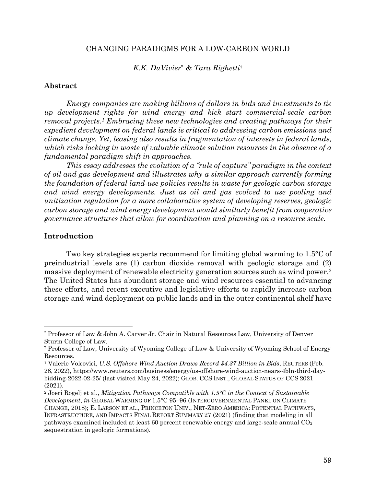## CHANGING PARADIGMS FOR A LOW-CARBON WORLD

#### *K.K. DuVivier*\* *& Tara Righetti*†

## **Abstract**

*Energy companies are making billions of dollars in bids and investments to tie up development rights for wind energy and kick start commercial-scale carbon removal projects.1 Embracing these new technologies and creating pathways for their expedient development on federal lands is critical to addressing carbon emissions and climate change. Yet, leasing also results in fragmentation of interests in federal lands, which risks locking in waste of valuable climate solution resources in the absence of a fundamental paradigm shift in approaches.*

*This essay addresses the evolution of a "rule of capture" paradigm in the context of oil and gas development and illustrates why a similar approach currently forming the foundation of federal land-use policies results in waste for geologic carbon storage and wind energy developments. Just as oil and gas evolved to use pooling and unitization regulation for a more collaborative system of developing reserves, geologic carbon storage and wind energy development would similarly benefit from cooperative governance structures that allow for coordination and planning on a resource scale.*

# **Introduction**

Two key strategies experts recommend for limiting global warming to 1.5°C of preindustrial levels are (1) carbon dioxide removal with geologic storage and (2) massive deployment of renewable electricity generation sources such as wind power.2 The United States has abundant storage and wind resources essential to advancing these efforts, and recent executive and legislative efforts to rapidly increase carbon storage and wind deployment on public lands and in the outer continental shelf have

 <sup>\*</sup> Professor of Law & John A. Carver Jr. Chair in Natural Resources Law, University of Denver Sturm College of Law.

<sup>†</sup> Professor of Law, University of Wyoming College of Law & University of Wyoming School of Energy Resources.

<sup>1</sup> Valerie Volcovici, *U.S. Offshore Wind Auction Draws Record \$4.37 Billion in Bids*, REUTERS (Feb. 28, 2022), https://www.reuters.com/business/energy/us-offshore-wind-auction-nears-4bln-third-daybidding-2022-02-25/ (last visited May 24, 2022); GLOB. CCS INST., GLOBAL STATUS OF CCS 2021 (2021).

<sup>2</sup> Joeri Rogelj et al., *Mitigation Pathways Compatible with 1.5°C in the Context of Sustainable Development*, *in* GLOBAL WARMING OF 1.5°C 95–96 (INTERGOVERNMENTAL PANEL ON CLIMATE CHANGE, 2018); E. LARSON ET AL., PRINCETON UNIV., NET-ZERO AMERICA: POTENTIAL PATHWAYS, INFRASTRUCTURE, AND IMPACTS FINAL REPORT SUMMARY 27 (2021) (finding that modeling in all pathways examined included at least 60 percent renewable energy and large-scale annual  $CO<sub>2</sub>$ sequestration in geologic formations).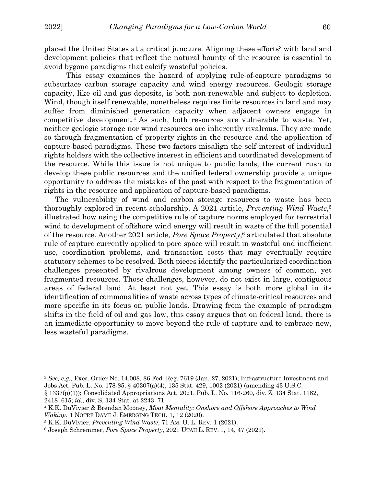$\overline{a}$ 

placed the United States at a critical juncture. Aligning these efforts<sup>3</sup> with land and development policies that reflect the natural bounty of the resource is essential to avoid bygone paradigms that calcify wasteful policies.

This essay examines the hazard of applying rule-of-capture paradigms to subsurface carbon storage capacity and wind energy resources. Geologic storage capacity, like oil and gas deposits, is both non-renewable and subject to depletion. Wind, though itself renewable, nonetheless requires finite resources in land and may suffer from diminished generation capacity when adjacent owners engage in competitive development.4 As such, both resources are vulnerable to waste. Yet, neither geologic storage nor wind resources are inherently rivalrous. They are made so through fragmentation of property rights in the resource and the application of capture-based paradigms. These two factors misalign the self-interest of individual rights holders with the collective interest in efficient and coordinated development of the resource. While this issue is not unique to public lands, the current rush to develop these public resources and the unified federal ownership provide a unique opportunity to address the mistakes of the past with respect to the fragmentation of rights in the resource and application of capture-based paradigms.

The vulnerability of wind and carbon storage resources to waste has been thoroughly explored in recent scholarship. A 2021 article, *Preventing Wind Waste*,5 illustrated how using the competitive rule of capture norms employed for terrestrial wind to development of offshore wind energy will result in waste of the full potential of the resource. Another 2021 article, *Pore Space Property*, <sup>6</sup> articulated that absolute rule of capture currently applied to pore space will result in wasteful and inefficient use, coordination problems, and transaction costs that may eventually require statutory schemes to be resolved. Both pieces identify the particularized coordination challenges presented by rivalrous development among owners of common, yet fragmented resources. Those challenges, however, do not exist in large, contiguous areas of federal land. At least not yet. This essay is both more global in its identification of commonalities of waste across types of climate-critical resources and more specific in its focus on public lands. Drawing from the example of paradigm shifts in the field of oil and gas law, this essay argues that on federal land, there is an immediate opportunity to move beyond the rule of capture and to embrace new, less wasteful paradigms.

<sup>3</sup> *See, e.g.*, Exec. Order No. 14,008, 86 Fed. Reg. 7619 (Jan. 27, 2021); Infrastructure Investment and Jobs Act, Pub. L. No. 178-85, § 40307(a)(4), 135 Stat. 429, 1002 (2021) (amending 43 U.S.C.

<sup>§</sup> 1337(p)(1)); Consolidated Appropriations Act, 2021, Pub. L. No. 116-260, div. Z, 134 Stat. 1182, 2418–615; *id.*, div. S, 134 Stat. at 2243–71.

<sup>4</sup> K.K. DuVivier & Brendan Mooney, *Moat Mentality: Onshore and Offshore Approaches to Wind Waking*, 1 NOTRE DAME J. EMERGING TECH. 1, 12 (2020).

<sup>5</sup> K.K. DuVivier, *Preventing Wind Waste*, 71 AM. U. L. REV. 1 (2021).

<sup>6</sup> Joseph Schremmer, *Pore Space Property*, 2021 UTAH L. REV. 1, 14, 47 (2021).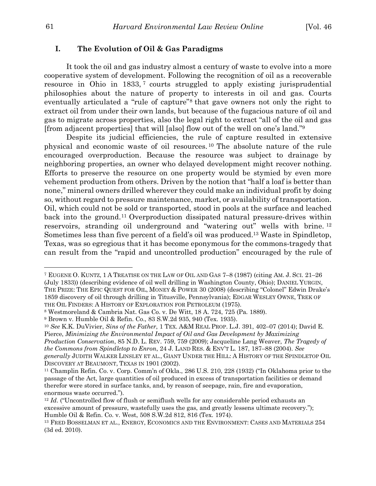#### **I. The Evolution of Oil & Gas Paradigms**

It took the oil and gas industry almost a century of waste to evolve into a more cooperative system of development. Following the recognition of oil as a recoverable resource in Ohio in 1833, <sup>7</sup> courts struggled to apply existing jurisprudential philosophies about the nature of property to interests in oil and gas. Courts eventually articulated a "rule of capture"8 that gave owners not only the right to extract oil from under their own lands, but because of the fugacious nature of oil and gas to migrate across properties, also the legal right to extract "all of the oil and gas [from adjacent properties] that will [also] flow out of the well on one's land."9

Despite its judicial efficiencies, the rule of capture resulted in extensive physical and economic waste of oil resources. <sup>10</sup> The absolute nature of the rule encouraged overproduction. Because the resource was subject to drainage by neighboring properties, an owner who delayed development might recover nothing. Efforts to preserve the resource on one property would be stymied by even more vehement production from others. Driven by the notion that "half a loaf is better than none," mineral owners drilled wherever they could make an individual profit by doing so, without regard to pressure maintenance, market, or availability of transportation. Oil, which could not be sold or transported, stood in pools at the surface and leached back into the ground.11 Overproduction dissipated natural pressure-drives within reservoirs, stranding oil underground and "watering out" wells with brine. <sup>12</sup> Sometimes less than five percent of a field's oil was produced.13 Waste in Spindletop, Texas, was so egregious that it has become eponymous for the commons-tragedy that can result from the "rapid and uncontrolled production" encouraged by the rule of

<sup>7</sup> EUGENE O. KUNTZ, 1 A TREATISE ON THE LAW OF OIL AND GAS 7–8 (1987) (citing AM. J. SCI. 21–26 (July 1833)) (describing evidence of oil well drilling in Washington County, Ohio); DANIEL YURGIN, THE PRIZE: THE EPIC QUEST FOR OIL, MONEY & POWER 30 (2008) (describing "Colonel" Edwin Drake's 1859 discovery of oil through drilling in Titusville, Pennsylvania); EDGAR WESLEY OWNE, TREK OF THE OIL FINDERS: A HISTORY OF EXPLORATION FOR PETROLEUM (1975).

<sup>8</sup> Westmoreland & Cambria Nat. Gas Co. v. De Witt, 18 A. 724, 725 (Pa. 1889).

<sup>9</sup> Brown v. Humble Oil & Refin. Co., 83 S.W.2d 935, 940 (Tex. 1935).

<sup>10</sup> *See* K.K. DuVivier, *Sins of the Father*, 1 TEX. A&M REAL PROP. L.J. 391, 402–07 (2014); David E. Pierce, *Minimizing the Environmental Impact of Oil and Gas Development by Maximizing Production Conservation*, 85 N.D. L. REV. 759, 759 (2009); Jacqueline Lang Weaver, *The Tragedy of the Commons from Spindletop to Enron*, 24 J. LAND RES. & ENV'T L. 187, 187–88 (2004). *See generally* JUDITH WALKER LINSLEY ET AL., GIANT UNDER THE HILL: A HISTORY OF THE SPINDLETOP OIL DISCOVERY AT BEAUMONT, TEXAS IN 1901 (2002).

<sup>11</sup> Champlin Refin. Co. v. Corp. Comm'n of Okla., 286 U.S. 210, 228 (1932) ("In Oklahoma prior to the passage of the Act, large quantities of oil produced in excess of transportation facilities or demand therefor were stored in surface tanks, and, by reason of seepage, rain, fire and evaporation, enormous waste occurred.").

<sup>&</sup>lt;sup>12</sup> *Id.* ("Uncontrolled flow of flush or semiflush wells for any considerable period exhausts an excessive amount of pressure, wastefully uses the gas, and greatly lessens ultimate recovery."); Humble Oil & Refin. Co. v. West, 508 S.W.2d 812, 816 (Tex. 1974).

<sup>13</sup> FRED BOSSELMAN ET AL., ENERGY, ECONOMICS AND THE ENVIRONMENT: CASES AND MATERIALS 254 (3d ed. 2010).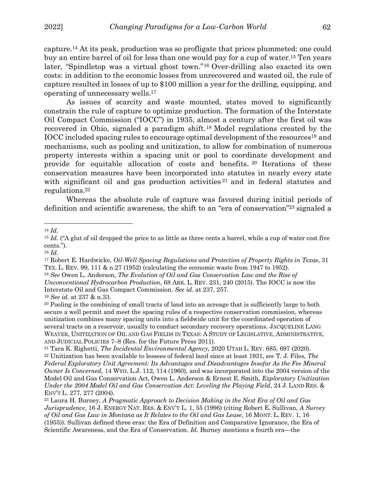capture.14 At its peak, production was so profligate that prices plummeted: one could buy an entire barrel of oil for less than one would pay for a cup of water.15 Ten years later, "Spindletop was a virtual ghost town."16 Over-drilling also exacted its own costs: in addition to the economic losses from unrecovered and wasted oil, the rule of capture resulted in losses of up to \$100 million a year for the drilling, equipping, and operating of unnecessary wells.17

As issues of scarcity and waste mounted, states moved to significantly constrain the rule of capture to optimize production. The formation of the Interstate Oil Compact Commission ("IOCC") in 1935, almost a century after the first oil was recovered in Ohio, signaled a paradigm shift.18 Model regulations created by the IOCC included spacing rules to encourage optimal development of the resources19 and mechanisms, such as pooling and unitization, to allow for combination of numerous property interests within a spacing unit or pool to coordinate development and provide for equitable allocation of costs and benefits. <sup>20</sup> Iterations of these conservation measures have been incorporated into statutes in nearly every state with significant oil and gas production activities <sup>21</sup> and in federal statutes and regulations.22

Whereas the absolute rule of capture was favored during initial periods of definition and scientific awareness, the shift to an "era of conservation"23 signaled a

 $\overline{a}$ 

<sup>16</sup> *Id.*

<sup>14</sup> *Id.*

<sup>&</sup>lt;sup>15</sup> *Id.* ("A glut of oil dropped the price to as little as three cents a barrel, while a cup of water cost five cents.").

<sup>17</sup> Robert E. Hardwicke, *Oil-Well Spacing Regulations and Protection of Property Rights in Texas*, 31 TEX. L. REV. 99, 111 & n.27 (1952) (calculating the economic waste from 1947 to 1952).

<sup>18</sup> *See* Owen L. Anderson, *The Evolution of Oil and Gas Conservation Law and the Rise of Unconventional Hydrocarbon Production*, 68 ARK. L. REV. 231, 240 (2015). The IOCC is now the Interstate Oil and Gas Compact Commission. *See id.* at 237, 257. <sup>19</sup> *See id.* at 237 & n.33.

<sup>20</sup> Pooling is the combining of small tracts of land into an acreage that is sufficiently large to both secure a well permit and meet the spacing rules of a respective conservation commission, whereas unitization combines many spacing units into a fieldwide unit for the coordinated operation of several tracts on a reservoir, usually to conduct secondary recovery operations. JACQUELINE LANG WEAVER, UNITIZATION OF OIL AND GAS FIELDS IN TEXAS: A STUDY OF LEGISLATIVE, ADMINISTRATIVE, AND JUDICIAL POLICIES 7–8 (Res. for the Future Press 2011). 21 Tara K. Righetti, *The Incidental Environmental Agency*, 2020 UTAH L. REV. 685, 697 (2020).

<sup>22</sup> Unitization has been available to lessees of federal land since at least 1931, *see* T. J. Files, *The Federal Exploratory Unit Agreement: Its Advantages and Disadvantages Insofar As the Fee Mineral Owner Is Concerned*, 14 WYO. L.J. 112, 114 (1960), and was incorporated into the 2004 version of the Model Oil and Gas Conservation Act, Owen L. Anderson & Ernest E. Smith, *Exploratory Unitization Under the 2004 Model Oil and Gas Conservation Act: Leveling the Playing Field*, 24 J. LAND RES. & ENV'T L. 277, 277 (2004).

<sup>23</sup> Laura H. Burney, *A Pragmatic Approach to Decision Making in the Next Era of Oil and Gas Jurisprudence*, 16 J. ENERGY NAT. RES. & ENV'T L. 1, 55 (1996) (citing Robert E. Sullivan, *A Survey of Oil and Gas Law in Montana as It Relates to the Oil and Gas Lease*, 16 MONT. L. REV. 1, 16 (1955)). Sullivan defined three eras: the Era of Definition and Comparative Ignorance, the Era of Scientific Awareness, and the Era of Conservation. *Id.* Burney mentions a fourth era—the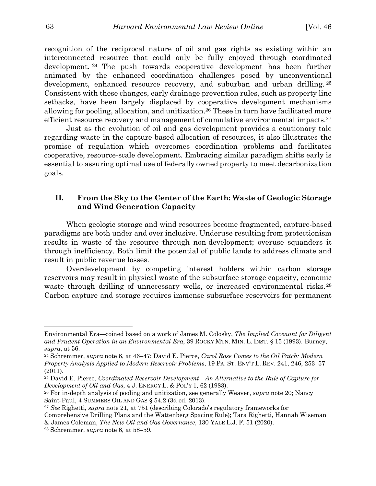recognition of the reciprocal nature of oil and gas rights as existing within an interconnected resource that could only be fully enjoyed through coordinated development. <sup>24</sup> The push towards cooperative development has been further animated by the enhanced coordination challenges posed by unconventional development, enhanced resource recovery, and suburban and urban drilling.<sup>25</sup> Consistent with these changes, early drainage prevention rules, such as property line setbacks, have been largely displaced by cooperative development mechanisms allowing for pooling, allocation, and unitization.26 These in turn have facilitated more efficient resource recovery and management of cumulative environmental impacts.<sup>27</sup>

Just as the evolution of oil and gas development provides a cautionary tale regarding waste in the capture-based allocation of resources, it also illustrates the promise of regulation which overcomes coordination problems and facilitates cooperative, resource-scale development. Embracing similar paradigm shifts early is essential to assuring optimal use of federally owned property to meet decarbonization goals.

# **II. From the Sky to the Center of the Earth: Waste of Geologic Storage and Wind Generation Capacity**

When geologic storage and wind resources become fragmented, capture-based paradigms are both under and over inclusive. Underuse resulting from protectionism results in waste of the resource through non-development; overuse squanders it through inefficiency. Both limit the potential of public lands to address climate and result in public revenue losses.

Overdevelopment by competing interest holders within carbon storage reservoirs may result in physical waste of the subsurface storage capacity, economic waste through drilling of unnecessary wells, or increased environmental risks.<sup>28</sup> Carbon capture and storage requires immense subsurface reservoirs for permanent

Environmental Era—coined based on a work of James M. Colosky, *The Implied Covenant for Diligent and Prudent Operation in an Environmental Era*, 39 ROCKY MTN. MIN. L. INST. § 15 (1993). Burney, *supra*, at 56.

<sup>24</sup> Schremmer, *supra* note 6, at 46–47; David E. Pierce, *Carol Rose Comes to the Oil Patch: Modern Property Analysis Applied to Modern Reservoir Problems*, 19 PA. ST. ENV'T L. REV. 241, 246, 253–57 (2011).

<sup>25</sup> David E. Pierce, *Coordinated Reservoir Development—An Alternative to the Rule of Capture for Development of Oil and Gas*, 4 J. ENERGY L. & POL'Y 1, 62 (1983).

<sup>26</sup> For in-depth analysis of pooling and unitization, see generally Weaver, *supra* note 20; Nancy Saint-Paul, 4 SUMMERS OIL AND GAS § 54.2 (3d ed. 2013).

<sup>27</sup> *See* Righetti, *supra* note 21, at 751 (describing Colorado's regulatory frameworks for

Comprehensive Drilling Plans and the Wattenberg Spacing Rule); Tara Righetti, Hannah Wiseman & James Coleman, *The New Oil and Gas Governance*, 130 YALE L.J. F. 51 (2020).

<sup>28</sup> Schremmer, *supra* note 6, at 58–59.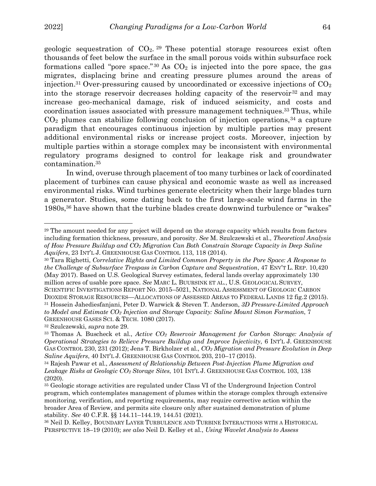$\overline{a}$ 

geologic sequestration of  $CO<sub>2</sub>$ . <sup>29</sup> These potential storage resources exist often thousands of feet below the surface in the small porous voids within subsurface rock formations called "pore space." 30 As  $CO<sub>2</sub>$  is injected into the pore space, the gas migrates, displacing brine and creating pressure plumes around the areas of injection.<sup>31</sup> Over-pressuring caused by uncoordinated or excessive injections of  $CO<sub>2</sub>$ into the storage reservoir decreases holding capacity of the reservoir  $32$  and may increase geo-mechanical damage, risk of induced seismicity, and costs and coordination issues associated with pressure management techniques.<sup>33</sup> Thus, while  $CO<sub>2</sub>$  plumes can stabilize following conclusion of injection operations,  $34$  a capture paradigm that encourages continuous injection by multiple parties may present additional environmental risks or increase project costs. Moreover, injection by multiple parties within a storage complex may be inconsistent with environmental regulatory programs designed to control for leakage risk and groundwater contamination.35

In wind, overuse through placement of too many turbines or lack of coordinated placement of turbines can cause physical and economic waste as well as increased environmental risks. Wind turbines generate electricity when their large blades turn a generator. Studies, some dating back to the first large-scale wind farms in the 1980s,36 have shown that the turbine blades create downwind turbulence or "wakes"

<sup>32</sup> Szulczewski, *supra* note 29.

<sup>29</sup> The amount needed for any project will depend on the storage capacity which results from factors including formation thickness, pressure, and porosity. *See* M. Szulczewski et al., *Theoretical Analysis of How Pressure Buildup and CO2 Migration Can Both Constrain Storage Capacity in Deep Saline Aquifers*, 23 INT'L J. GREENHOUSE GAS CONTROL 113, 118 (2014).

<sup>30</sup> Tara Righetti, *Correlative Rights and Limited Common Property in the Pore Space: A Response to the Challenge of Subsurface Trespass in Carbon Capture and Sequestration*, 47 ENV'T L. REP. 10,420 (May 2017). Based on U.S. Geological Survey estimates, federal lands overlay approximately 130 million acres of usable pore space. *See* MARC L. BUURSINK ET AL., U.S. GEOLOGICAL SURVEY, SCIENTIFIC INVESTIGATIONS REPORT NO. 2015–5021, NATIONAL ASSESSMENT OF GEOLOGIC CARBON DIOXIDE STORAGE RESOURCES—ALLOCATIONS OF ASSESSED AREAS TO FEDERAL LANDS 12 fig.2 (2015).

<sup>31</sup> Hossein Jahediesfanjani, Peter D. Warwick & Steven T. Anderson, *3D Pressure-Limited Approach to Model and Estimate CO2 Injection and Storage Capacity: Saline Mount Simon Formation*, 7 GREENHOUSE GASES SCI. & TECH. 1080 (2017).

<sup>33</sup> Thomas A. Buscheck et al., *Active CO2 Reservoir Management for Carbon Storage: Analysis of Operational Strategies to Relieve Pressure Buildup and Improve Injectivity*, 6 INT'L J. GREENHOUSE GAS CONTROL 230, 231 (2012); Jens T. Birkholzer et al., *CO2 Migration and Pressure Evolution in Deep Saline Aquifers*, 40 INT'L J. GREENHOUSE GAS CONTROL 203, 210–17 (2015).

<sup>34</sup> Rajesh Pawar et al., *Assessment of Relationship Between Post-Injection Plume Migration and Leakage Risks at Geologic CO2 Storage Sites*, 101 INT'L J. GREENHOUSE GAS CONTROL 103, 138 (2020).

<sup>35</sup> Geologic storage activities are regulated under Class VI of the Underground Injection Control program, which contemplates management of plumes within the storage complex through extensive monitoring, verification, and reporting requirements, may require corrective action within the broader Area of Review, and permits site closure only after sustained demonstration of plume stability. *See* 40 C.F.R. §§ 144.11–144.19, 144.51 (2021).

<sup>36</sup> Neil D. Kelley, BOUNDARY LAYER TURBULENCE AND TURBINE INTERACTIONS WITH A HISTORICAL PERSPECTIVE 18–19 (2010); *see also* Neil D. Kelley et al., *Using Wavelet Analysis to Assess*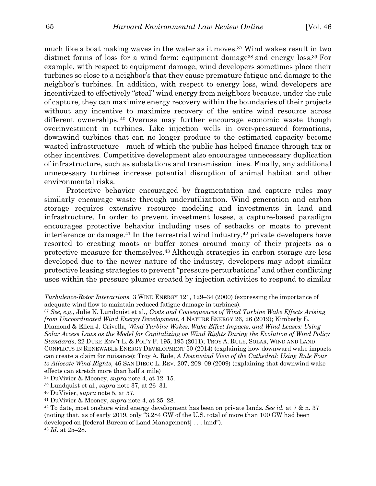much like a boat making waves in the water as it moves.37 Wind wakes result in two distinct forms of loss for a wind farm: equipment damage<sup>38</sup> and energy loss.<sup>39</sup> For example, with respect to equipment damage, wind developers sometimes place their turbines so close to a neighbor's that they cause premature fatigue and damage to the neighbor's turbines. In addition, with respect to energy loss, wind developers are incentivized to effectively "steal" wind energy from neighbors because, under the rule of capture, they can maximize energy recovery within the boundaries of their projects without any incentive to maximize recovery of the entire wind resource across different ownerships. <sup>40</sup> Overuse may further encourage economic waste though overinvestment in turbines. Like injection wells in over-pressured formations, downwind turbines that can no longer produce to the estimated capacity become wasted infrastructure—much of which the public has helped finance through tax or other incentives. Competitive development also encourages unnecessary duplication of infrastructure, such as substations and transmission lines. Finally, any additional unnecessary turbines increase potential disruption of animal habitat and other environmental risks.

Protective behavior encouraged by fragmentation and capture rules may similarly encourage waste through underutilization. Wind generation and carbon storage requires extensive resource modeling and investments in land and infrastructure. In order to prevent investment losses, a capture-based paradigm encourages protective behavior including uses of setbacks or moats to prevent interference or damage.<sup>41</sup> In the terrestrial wind industry,<sup>42</sup> private developers have resorted to creating moats or buffer zones around many of their projects as a protective measure for themselves.43 Although strategies in carbon storage are less developed due to the newer nature of the industry, developers may adopt similar protective leasing strategies to prevent "pressure perturbations" and other conflicting uses within the pressure plumes created by injection activities to respond to similar

*Turbulence-Rotor Interactions*, 3 WIND ENERGY 121, 129–34 (2000) (expressing the importance of adequate wind flow to maintain reduced fatigue damage in turbines).

<sup>37</sup> *See, e.g.*, Julie K. Lundquist et al., *Costs and Consequences of Wind Turbine Wake Effects Arising from Uncoordinated Wind Energy Development*, 4 NATURE ENERGY 26, 26 (2019); Kimberly E. Diamond & Ellen J. Crivella, *Wind Turbine Wakes, Wake Effect Impacts, and Wind Leases: Using Solar Access Laws as the Model for Capitalizing on Wind Rights During the Evolution of Wind Policy Standards*, 22 DUKE ENV'T L. & POL'Y F. 195, 195 (2011); TROY A. RULE, SOLAR, WIND AND LAND: CONFLICTS IN RENEWABLE ENERGY DEVELOPMENT 50 (2014) (explaining how downward wake impacts can create a claim for nuisance); Troy A. Rule, *A Downwind View of the Cathedral: Using Rule Four to Allocate Wind Rights*, 46 SAN DIEGO L. REV. 207, 208–09 (2009) (explaining that downwind wake effects can stretch more than half a mile)

<sup>38</sup> DuVivier & Mooney, *supra* note 4, at 12–15.

<sup>39</sup> Lundquist et al., *supra* note 37, at 26–31.

<sup>40</sup> DuVivier, *supra* note 5, at 57.

<sup>41</sup> DuVivier & Mooney, *supra* note 4, at 25–28.

<sup>42</sup> To date, most onshore wind energy development has been on private lands. *See id.* at 7 & n. 37 (noting that, as of early 2019, only "3.284 GW of the U.S. total of more than 100 GW had been developed on [federal Bureau of Land Management] . . . land").

<sup>43</sup> *Id.* at 25–28.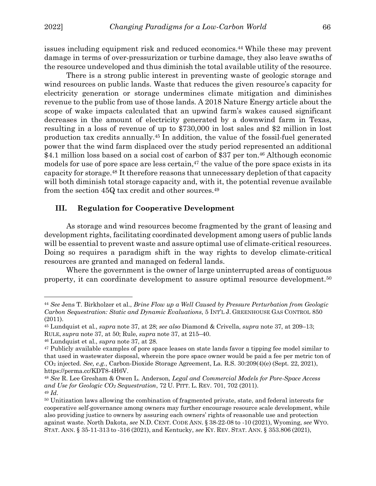$\overline{a}$ 

issues including equipment risk and reduced economics.44 While these may prevent damage in terms of over-pressurization or turbine damage, they also leave swaths of the resource undeveloped and thus diminish the total available utility of the resource.

There is a strong public interest in preventing waste of geologic storage and wind resources on public lands. Waste that reduces the given resource's capacity for electricity generation or storage undermines climate mitigation and diminishes revenue to the public from use of those lands. A 2018 Nature Energy article about the scope of wake impacts calculated that an upwind farm's wakes caused significant decreases in the amount of electricity generated by a downwind farm in Texas, resulting in a loss of revenue of up to \$730,000 in lost sales and \$2 million in lost production tax credits annually.45 In addition, the value of the fossil-fuel generated power that the wind farm displaced over the study period represented an additional \$4.1 million loss based on a social cost of carbon of \$37 per ton.<sup>46</sup> Although economic models for use of pore space are less certain,<sup>47</sup> the value of the pore space exists in its capacity for storage.48 It therefore reasons that unnecessary depletion of that capacity will both diminish total storage capacity and, with it, the potential revenue available from the section 45Q tax credit and other sources.49

## **III. Regulation for Cooperative Development**

As storage and wind resources become fragmented by the grant of leasing and development rights, facilitating coordinated development among users of public lands will be essential to prevent waste and assure optimal use of climate-critical resources. Doing so requires a paradigm shift in the way rights to develop climate-critical resources are granted and managed on federal lands.

Where the government is the owner of large uninterrupted areas of contiguous property, it can coordinate development to assure optimal resource development.50

<sup>44</sup> *See* Jens T. Birkholzer et al., *Brine Flow up a Well Caused by Pressure Perturbation from Geologic Carbon Sequestration: Static and Dynamic Evaluations*, 5 INT'L J. GREENHOUSE GAS CONTROL 850 (2011).

<sup>45</sup> Lundquist et al., *supra* note 37, at 28; *see also* Diamond & Crivella, *supra* note 37, at 209–13; RULE, *supra* note 37, at 50; Rule, *supra* note 37, at 215–40.

<sup>46</sup> Lundquist et al., *supra* note 37, at 28.

<sup>47</sup> Publicly available examples of pore space leases on state lands favor a tipping fee model similar to that used in wastewater disposal, wherein the pore space owner would be paid a fee per metric ton of CO2 injected. *See, e.g.*, Carbon-Dioxide Storage Agreement, La. R.S. 30:209(4)(e) (Sept. 22, 2021), https://perma.cc/KDT8-4H6V.

<sup>48</sup> *See* R. Lee Gresham & Owen L. Anderson, *Legal and Commercial Models for Pore-Space Access and Use for Geologic CO2 Sequestration*, 72 U. PITT. L. REV. 701, 702 (2011). <sup>49</sup> *Id.*

<sup>50</sup> Unitization laws allowing the combination of fragmented private, state, and federal interests for cooperative self-governance among owners may further encourage resource scale development, while also providing justice to owners by assuring each owners' rights of reasonable use and protection against waste. North Dakota, *see* N.D. CENT. CODE ANN. § 38-22-08 to -10 (2021), Wyoming, *see* WYO. STAT. ANN. § 35-11-313 to -316 (2021), and Kentucky, *see* KY. REV. STAT. ANN. § 353.806 (2021),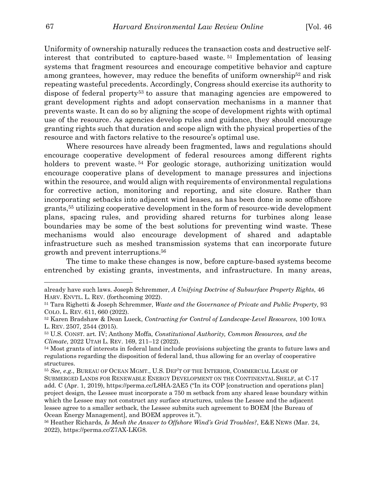Uniformity of ownership naturally reduces the transaction costs and destructive selfinterest that contributed to capture-based waste. <sup>51</sup> Implementation of leasing systems that fragment resources and encourage competitive behavior and capture among grantees, however, may reduce the benefits of uniform ownership<sup>52</sup> and risk repeating wasteful precedents. Accordingly, Congress should exercise its authority to dispose of federal property53 to assure that managing agencies are empowered to grant development rights and adopt conservation mechanisms in a manner that prevents waste. It can do so by aligning the scope of development rights with optimal use of the resource. As agencies develop rules and guidance, they should encourage granting rights such that duration and scope align with the physical properties of the resource and with factors relative to the resource's optimal use.

Where resources have already been fragmented, laws and regulations should encourage cooperative development of federal resources among different rights holders to prevent waste.<sup>54</sup> For geologic storage, authorizing unitization would encourage cooperative plans of development to manage pressures and injections within the resource, and would align with requirements of environmental regulations for corrective action, monitoring and reporting, and site closure. Rather than incorporating setbacks into adjacent wind leases, as has been done in some offshore grants,55 utilizing cooperative development in the form of resource-wide development plans, spacing rules, and providing shared returns for turbines along lease boundaries may be some of the best solutions for preventing wind waste. These mechanisms would also encourage development of shared and adaptable infrastructure such as meshed transmission systems that can incorporate future growth and prevent interruptions.56

The time to make these changes is now, before capture-based systems become entrenched by existing grants, investments, and infrastructure. In many areas,

already have such laws. Joseph Schremmer, *A Unifying Doctrine of Subsurface Property Rights*, 46 HARV. ENVTL. L. REV. (forthcoming 2022).

<sup>51</sup> Tara Righetti & Joseph Schremmer, *Waste and the Governance of Private and Public Property,* 93 COLO. L. REV. 611, 660 (2022).

<sup>52</sup> Karen Bradshaw & Dean Lueck, *Contracting for Control of Landscape-Level Resources*, 100 IOWA L. REV. 2507, 2544 (2015).

<sup>53</sup> U.S. CONST. art. IV; Anthony Moffa, *Constitutional Authority, Common Resources, and the Climate*, 2022 UTAH L. REV. 169, 211–12 (2022).

<sup>54</sup> Most grants of interests in federal land include provisions subjecting the grants to future laws and regulations regarding the disposition of federal land, thus allowing for an overlay of cooperative structures.

<sup>55</sup> *See, e.g.*, BUREAU OF OCEAN MGMT., U.S. DEP'T OF THE INTERIOR, COMMERCIAL LEASE OF SUBMERGED LANDS FOR RENEWABLE ENERGY DEVELOPMENT ON THE CONTINENTAL SHELF, at C-17 add. C (Apr. 1, 2019), https://perma.cc/L8HA-2AE5 ("In its COP [construction and operations plan] project design, the Lessee must incorporate a 750 m setback from any shared lease boundary within which the Lessee may not construct any surface structures, unless the Lessee and the adjacent lessee agree to a smaller setback, the Lessee submits such agreement to BOEM [the Bureau of Ocean Energy Management], and BOEM approves it.").

<sup>56</sup> Heather Richards, *Is Mesh the Answer to Offshore Wind's Grid Troubles?*, E&E NEWS (Mar. 24, 2022), https://perma.cc/Z7AX-LKG8.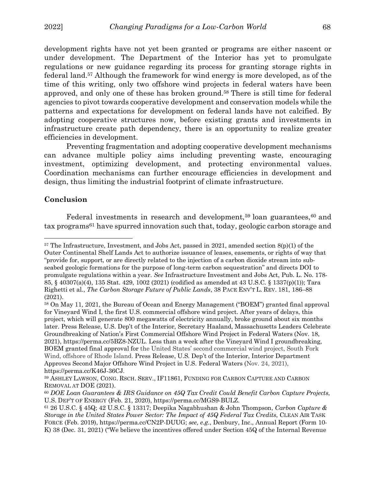development rights have not yet been granted or programs are either nascent or under development. The Department of the Interior has yet to promulgate regulations or new guidance regarding its process for granting storage rights in federal land.57 Although the framework for wind energy is more developed, as of the time of this writing, only two offshore wind projects in federal waters have been approved, and only one of these has broken ground.58 There is still time for federal agencies to pivot towards cooperative development and conservation models while the patterns and expectations for development on federal lands have not calcified. By adopting cooperative structures now, before existing grants and investments in infrastructure create path dependency, there is an opportunity to realize greater efficiencies in development.

Preventing fragmentation and adopting cooperative development mechanisms can advance multiple policy aims including preventing waste, encouraging investment, optimizing development, and protecting environmental values. Coordination mechanisms can further encourage efficiencies in development and design, thus limiting the industrial footprint of climate infrastructure.

# **Conclusion**

 $\overline{a}$ 

Federal investments in research and development,<sup>59</sup> loan guarantees,<sup>60</sup> and tax programs61 have spurred innovation such that, today, geologic carbon storage and

 $57$  The Infrastructure, Investment, and Jobs Act, passed in 2021, amended section  $8(p)(1)$  of the Outer Continental Shelf Lands Act to authorize issuance of leases, easements, or rights of way that "provide for, support, or are directly related to the injection of a carbon dioxide stream into subseabed geologic formations for the purpose of long-term carbon sequestration" and directs DOI to promulgate regulations within a year. *See* Infrastructure Investment and Jobs Act, Pub. L. No. 178- 85, § 40307(a)(4), 135 Stat. 429, 1002 (2021) (codified as amended at 43 U.S.C. § 1337(p)(1)); Tara Righetti et al., *The Carbon Storage Future of Public Lands*, 38 PACE ENV'T L. REV. 181, 186–88 (2021).

<sup>58</sup> On May 11, 2021, the Bureau of Ocean and Energy Management ("BOEM") granted final approval for Vineyard Wind I, the first U.S. commercial offshore wind project. After years of delays, this project, which will generate 800 megawatts of electricity annually, broke ground about six months later. Press Release, U.S. Dep't of the Interior, Secretary Haaland, Massachusetts Leaders Celebrate Groundbreaking of Nation's First Commercial Offshore Wind Project in Federal Waters (Nov. 18, 2021), https://perma.cc/5BZ8-NZUL. Less than a week after the Vineyard Wind I groundbreaking, BOEM granted final approval for the United States' second commercial wind project, South Fork Wind, offshore of Rhode Island. Press Release, U.S. Dep't of the Interior, Interior Department Approves Second Major Offshore Wind Project in U.S. Federal Waters (Nov. 24, 2021), https://perma.cc/K46J-36CJ.

<sup>59</sup> ASHLEY LAWSON, CONG. RSCH. SERV., IF11861, FUNDING FOR CARBON CAPTURE AND CARBON REMOVAL AT DOE (2021).

<sup>60</sup> *DOE Loan Guarantees & IRS Guidance on 45Q Tax Credit Could Benefit Carbon Capture Projects*, U.S. DEP'T OF ENERGY (Feb. 21, 2020), https://perma.cc/MGS9-BULZ.

<sup>61</sup> 26 U.S.C. § 45Q; 42 U.S.C. § 13317; Deepika Nagabhushan & John Thompson, *Carbon Capture & Storage in the United States Power Sector: The Impact of 45Q Federal Tax Credits*, CLEAN AIR TASK FORCE (Feb. 2019), https://perma.cc/CN2P-DUUG; *see, e.g.*, Denbury, Inc., Annual Report (Form 10- K) 38 (Dec. 31, 2021) ("We believe the incentives offered under Section 45Q of the Internal Revenue